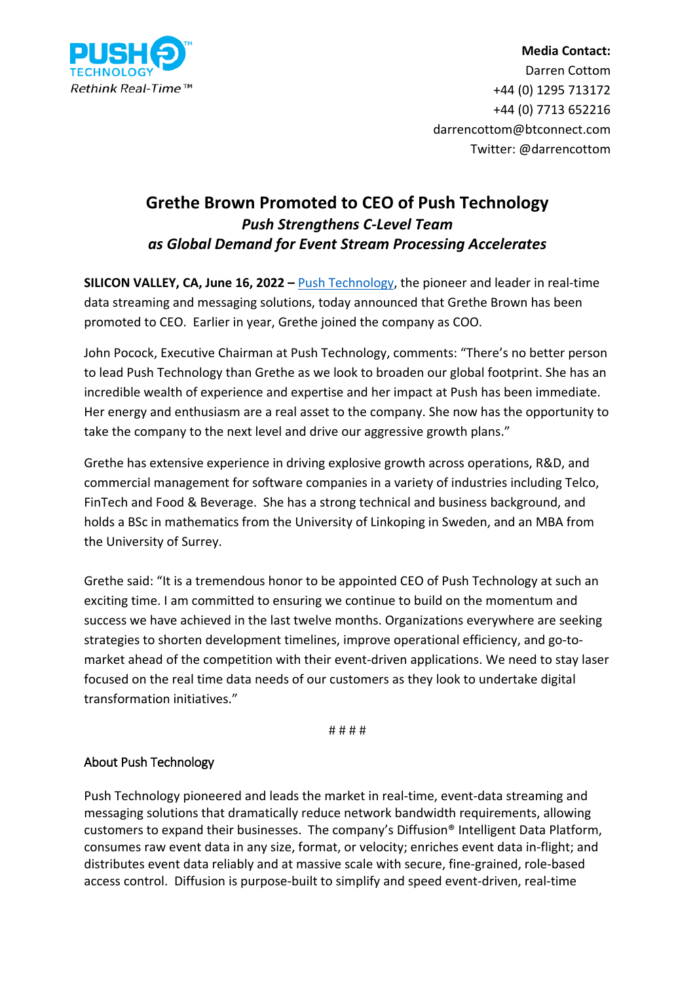

## **Media Contact:** Darren Cottom +44 (0) 1295 713172 +44 (0) 7713 652216 darrencottom@btconnect.com Twitter: @darrencottom

## **Grethe Brown Promoted to CEO of Push Technology**  *Push Strengthens C-Level Team as Global Demand for Event Stream Processing Accelerates*

**SILICON VALLEY, CA, June 16, 2022 –** [Push Technology,](https://www.pushtechnology.com/) the pioneer and leader in real-time data streaming and messaging solutions, today announced that Grethe Brown has been promoted to CEO. Earlier in year, Grethe joined the company as COO.

John Pocock, Executive Chairman at Push Technology, comments: "There's no better person to lead Push Technology than Grethe as we look to broaden our global footprint. She has an incredible wealth of experience and expertise and her impact at Push has been immediate. Her energy and enthusiasm are a real asset to the company. She now has the opportunity to take the company to the next level and drive our aggressive growth plans."

Grethe has extensive experience in driving explosive growth across operations, R&D, and commercial management for software companies in a variety of industries including Telco, FinTech and Food & Beverage. She has a strong technical and business background, and holds a BSc in mathematics from the University of Linkoping in Sweden, and an MBA from the University of Surrey.

Grethe said: "It is a tremendous honor to be appointed CEO of Push Technology at such an exciting time. I am committed to ensuring we continue to build on the momentum and success we have achieved in the last twelve months. Organizations everywhere are seeking strategies to shorten development timelines, improve operational efficiency, and go-tomarket ahead of the competition with their event-driven applications. We need to stay laser focused on the real time data needs of our customers as they look to undertake digital transformation initiatives."

# # # #

## About Push Technology

Push Technology pioneered and leads the market in real-time, event-data streaming and messaging solutions that dramatically reduce network bandwidth requirements, allowing customers to expand their businesses. The company's Diffusion® Intelligent Data Platform, consumes raw event data in any size, format, or velocity; enriches event data in-flight; and distributes event data reliably and at massive scale with secure, fine-grained, role-based access control. Diffusion is purpose-built to simplify and speed event-driven, real-time